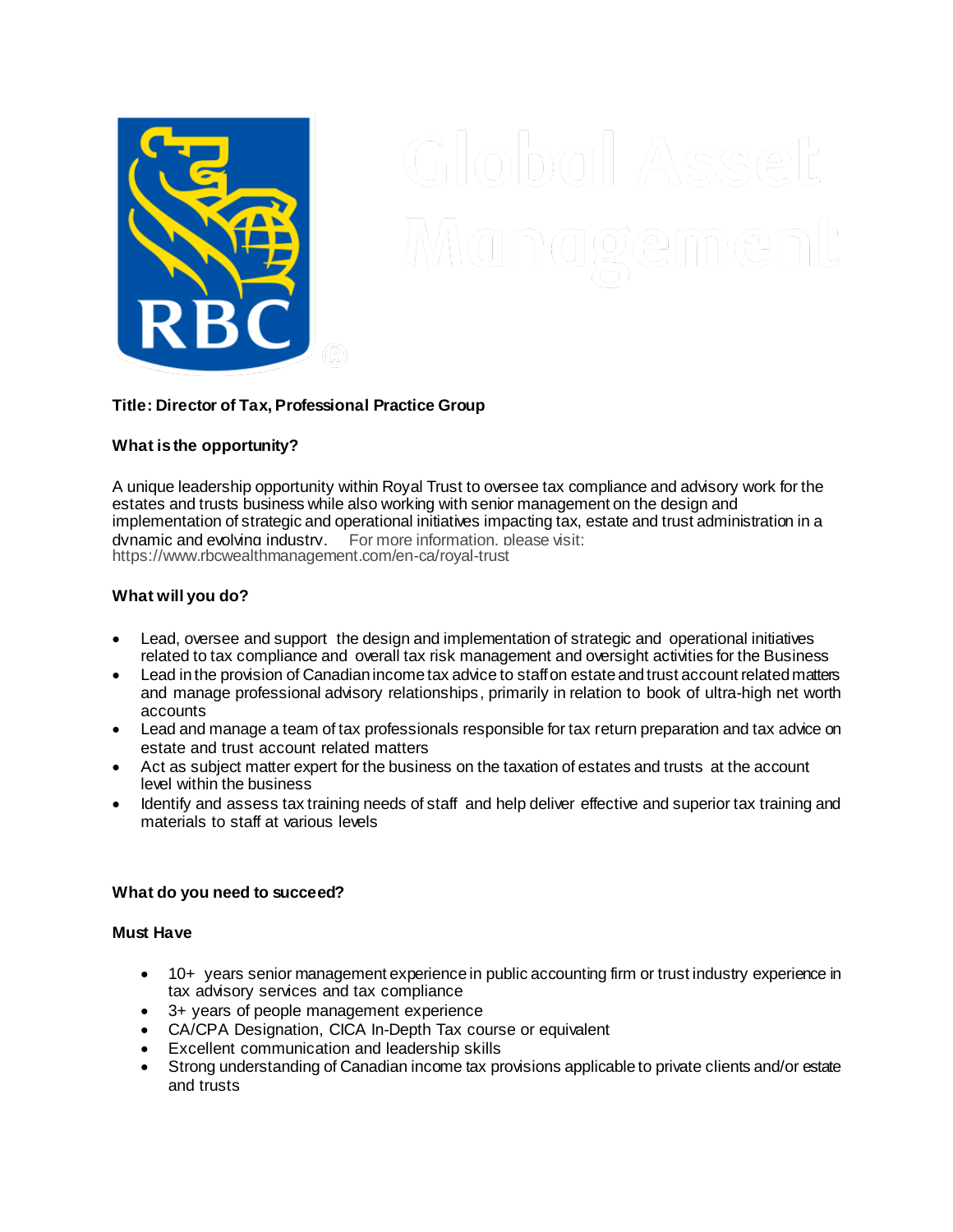

# **Title: Director of Tax, Professional Practice Group**

## **What is the opportunity?**

A unique leadership opportunity within Royal Trust to oversee tax compliance and advisory work for the estates and trusts business while also working with senior management on the design and implementation of strategic and operational initiatives impacting tax, estate and trust administration in a dvnamic and evolving industry. For more information, please visit: https://www.rbcwealthmanagement.com/en-ca/royal-trust

## **What will you do?**

- Lead, oversee and support the design and implementation of strategic and operational initiatives related to tax compliance and overall tax risk management and oversight activities for the Business
- Lead in the provision of Canadian income tax advice to staffon estate and trust account related matters and manage professional advisory relationships, primarily in relation to book of ultra-high net worth accounts
- Lead and manage a team of tax professionals responsible for tax return preparation and tax advice on estate and trust account related matters
- Act as subject matter expert for the business on the taxation of estates and trusts at the account level within the business
- Identify and assess tax training needs of staff and help deliver effective and superior tax training and materials to staff at various levels

### **What do you need to succeed?**

### **Must Have**

- 10+ years senior management experience in public accounting firm or trust industry experience in tax advisory services and tax compliance
- 3+ years of people management experience
- CA/CPA Designation, CICA In-Depth Tax course or equivalent
- Excellent communication and leadership skills
- Strong understanding of Canadian income tax provisions applicable to private clients and/or estate and trusts